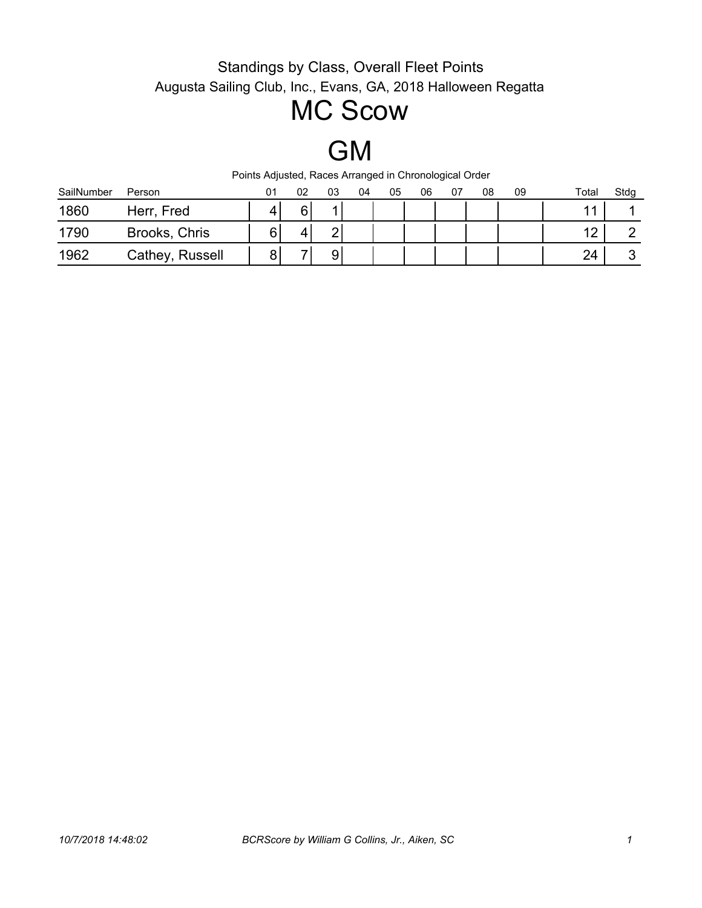# MC Scow

GM

| SailNumber | Person          | 01 | 02 | 03 | 04 | 05 | 06 | 07 | 08 | 09 | Total | Stdg |
|------------|-----------------|----|----|----|----|----|----|----|----|----|-------|------|
| 1860       | Herr, Fred      |    | ຨ  |    |    |    |    |    |    |    |       |      |
| 1790       | Brooks, Chris   |    | 4  | ⌒  |    |    |    |    |    |    | 10    |      |
| 1962       | Cathey, Russell |    |    | 9  |    |    |    |    |    |    | 24    |      |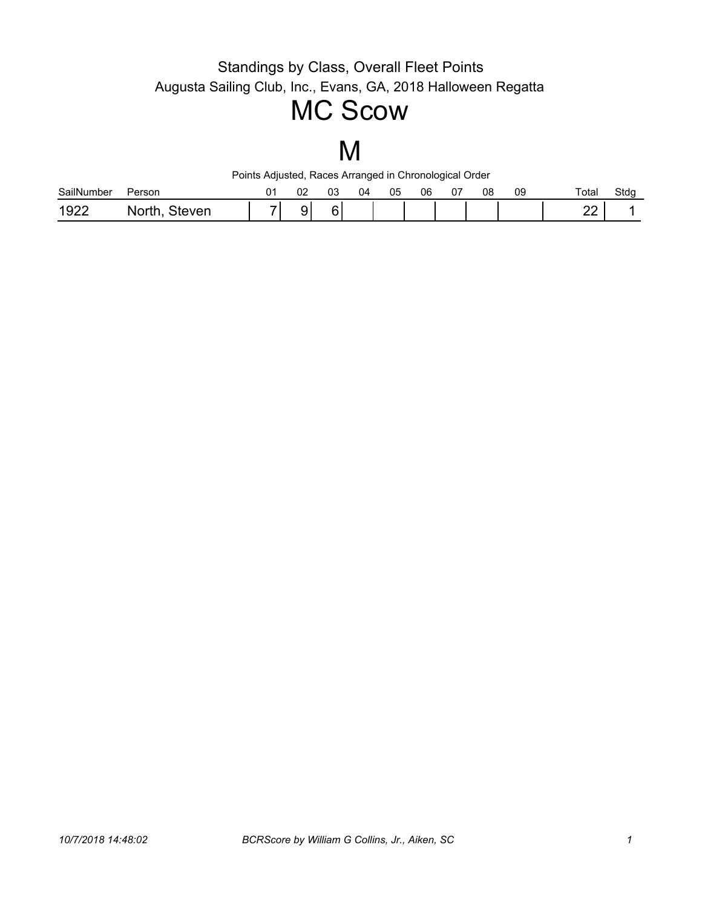## MC Scow

# M

| SailNumber | Person     | n r<br>◡∠    | UJ        | 04 | 05 | 06 | J7 | 08 | 09 | Total           | Stdg |
|------------|------------|--------------|-----------|----|----|----|----|----|----|-----------------|------|
| 1922       | ven<br>. . | ч<br>$\cdot$ | <u>. </u> |    |    |    |    |    |    | n,<br><u>__</u> |      |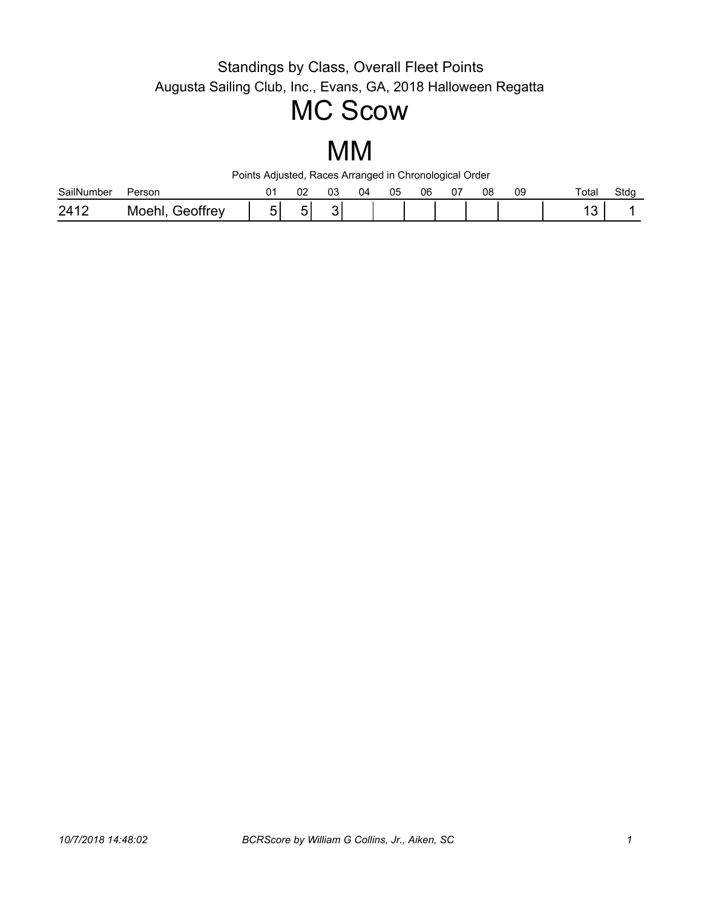## MC Scow

### MM

| SailN<br>umber | Person                                 | 02 | ົ<br>UJ | 14 | 05 | 06 | υ. | 08 | 09 | Total | Stdq |
|----------------|----------------------------------------|----|---------|----|----|----|----|----|----|-------|------|
| 2417<br>⊷      | offrey<br>∩۵۱<br>. . ല $\Gamma$<br>IVІ | -  | $\cdot$ |    |    |    |    |    |    |       |      |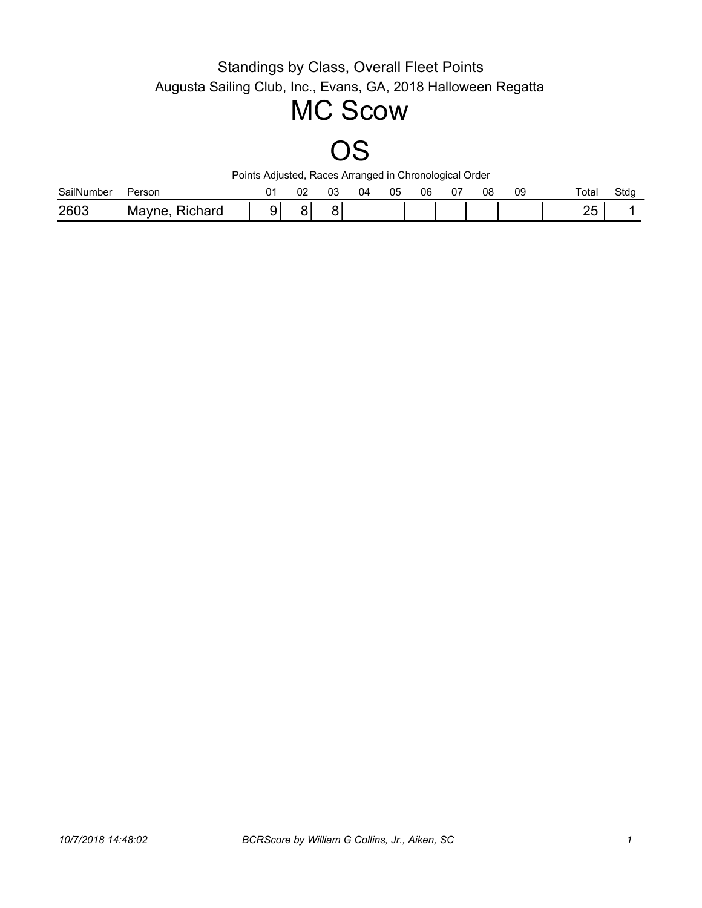## MC Scow

# OS

| SailNumber | Person                          | ∩∩<br>◡∠ | ົ<br>UJ | 04 | 05 | 06 | ~- | 08 | 09 | Total                 | Stdg |
|------------|---------------------------------|----------|---------|----|----|----|----|----|----|-----------------------|------|
| 2603       | ≏hard<br>ـ IVI<br>- 11<br>4 M F | . .      |         |    |    |    |    |    |    | <u>__</u><br>-∽<br>∼∽ |      |